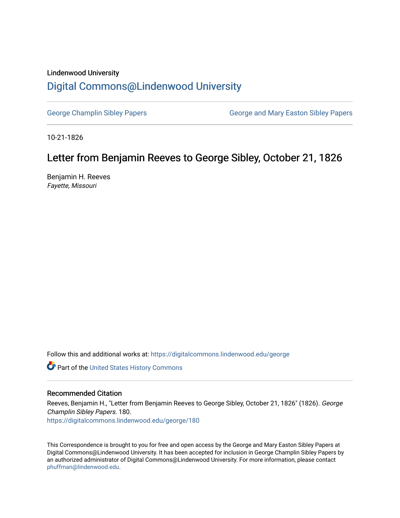### Lindenwood University

# [Digital Commons@Lindenwood University](https://digitalcommons.lindenwood.edu/)

[George Champlin Sibley Papers](https://digitalcommons.lindenwood.edu/george) George and Mary Easton Sibley Papers

10-21-1826

## Letter from Benjamin Reeves to George Sibley, October 21, 1826

Benjamin H. Reeves Fayette, Missouri

Follow this and additional works at: [https://digitalcommons.lindenwood.edu/george](https://digitalcommons.lindenwood.edu/george?utm_source=digitalcommons.lindenwood.edu%2Fgeorge%2F180&utm_medium=PDF&utm_campaign=PDFCoverPages)

Part of the [United States History Commons](http://network.bepress.com/hgg/discipline/495?utm_source=digitalcommons.lindenwood.edu%2Fgeorge%2F180&utm_medium=PDF&utm_campaign=PDFCoverPages) 

#### Recommended Citation

Reeves, Benjamin H., "Letter from Benjamin Reeves to George Sibley, October 21, 1826" (1826). George Champlin Sibley Papers. 180. [https://digitalcommons.lindenwood.edu/george/180](https://digitalcommons.lindenwood.edu/george/180?utm_source=digitalcommons.lindenwood.edu%2Fgeorge%2F180&utm_medium=PDF&utm_campaign=PDFCoverPages)

This Correspondence is brought to you for free and open access by the George and Mary Easton Sibley Papers at Digital Commons@Lindenwood University. It has been accepted for inclusion in George Champlin Sibley Papers by an authorized administrator of Digital Commons@Lindenwood University. For more information, please contact [phuffman@lindenwood.edu](mailto:phuffman@lindenwood.edu).